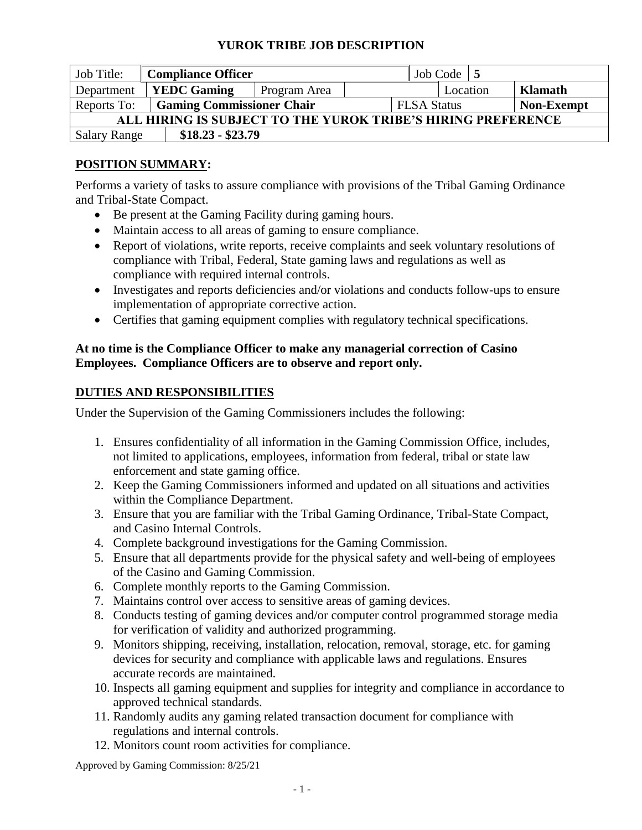| Job Title:                                                   | <b>Compliance Officer</b>        |              |  |                    | Job Code $\vert 5 \vert$ |                   |         |  |
|--------------------------------------------------------------|----------------------------------|--------------|--|--------------------|--------------------------|-------------------|---------|--|
| Department                                                   | <b>YEDC Gaming</b>               | Program Area |  |                    | Location                 |                   | Klamath |  |
| Reports To:                                                  | <b>Gaming Commissioner Chair</b> |              |  | <b>FLSA Status</b> |                          | <b>Non-Exempt</b> |         |  |
| ALL HIRING IS SUBJECT TO THE YUROK TRIBE'S HIRING PREFERENCE |                                  |              |  |                    |                          |                   |         |  |
| <b>Salary Range</b>                                          | $$18.23 - $23.79$                |              |  |                    |                          |                   |         |  |

# **POSITION SUMMARY:**

Performs a variety of tasks to assure compliance with provisions of the Tribal Gaming Ordinance and Tribal-State Compact.

- Be present at the Gaming Facility during gaming hours.
- Maintain access to all areas of gaming to ensure compliance.
- Report of violations, write reports, receive complaints and seek voluntary resolutions of compliance with Tribal, Federal, State gaming laws and regulations as well as compliance with required internal controls.
- Investigates and reports deficiencies and/or violations and conducts follow-ups to ensure implementation of appropriate corrective action.
- Certifies that gaming equipment complies with regulatory technical specifications.

#### **At no time is the Compliance Officer to make any managerial correction of Casino Employees. Compliance Officers are to observe and report only.**

## **DUTIES AND RESPONSIBILITIES**

Under the Supervision of the Gaming Commissioners includes the following:

- 1. Ensures confidentiality of all information in the Gaming Commission Office, includes, not limited to applications, employees, information from federal, tribal or state law enforcement and state gaming office.
- 2. Keep the Gaming Commissioners informed and updated on all situations and activities within the Compliance Department.
- 3. Ensure that you are familiar with the Tribal Gaming Ordinance, Tribal-State Compact, and Casino Internal Controls.
- 4. Complete background investigations for the Gaming Commission.
- 5. Ensure that all departments provide for the physical safety and well-being of employees of the Casino and Gaming Commission.
- 6. Complete monthly reports to the Gaming Commission.
- 7. Maintains control over access to sensitive areas of gaming devices.
- 8. Conducts testing of gaming devices and/or computer control programmed storage media for verification of validity and authorized programming.
- 9. Monitors shipping, receiving, installation, relocation, removal, storage, etc. for gaming devices for security and compliance with applicable laws and regulations. Ensures accurate records are maintained.
- 10. Inspects all gaming equipment and supplies for integrity and compliance in accordance to approved technical standards.
- 11. Randomly audits any gaming related transaction document for compliance with regulations and internal controls.
- 12. Monitors count room activities for compliance.

Approved by Gaming Commission: 8/25/21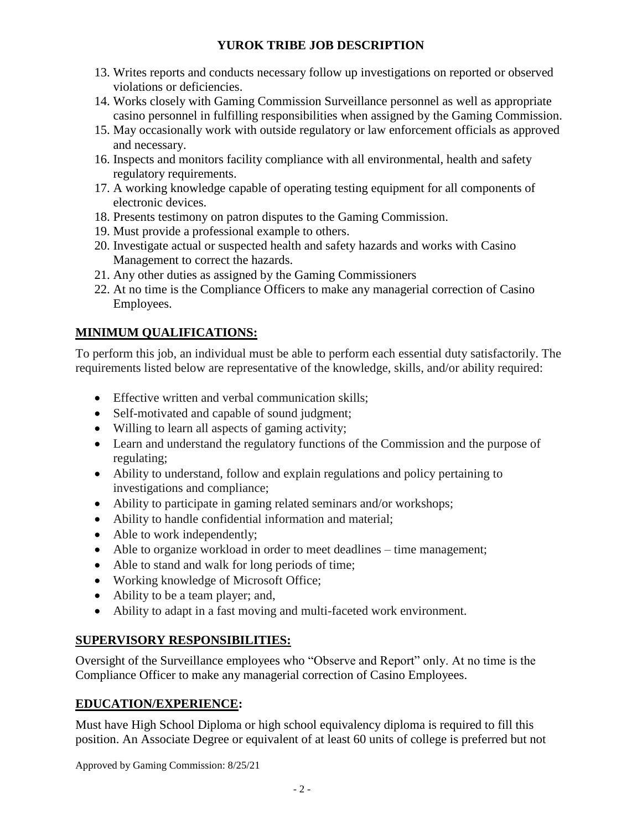- 13. Writes reports and conducts necessary follow up investigations on reported or observed violations or deficiencies.
- 14. Works closely with Gaming Commission Surveillance personnel as well as appropriate casino personnel in fulfilling responsibilities when assigned by the Gaming Commission.
- 15. May occasionally work with outside regulatory or law enforcement officials as approved and necessary.
- 16. Inspects and monitors facility compliance with all environmental, health and safety regulatory requirements.
- 17. A working knowledge capable of operating testing equipment for all components of electronic devices.
- 18. Presents testimony on patron disputes to the Gaming Commission.
- 19. Must provide a professional example to others.
- 20. Investigate actual or suspected health and safety hazards and works with Casino Management to correct the hazards.
- 21. Any other duties as assigned by the Gaming Commissioners
- 22. At no time is the Compliance Officers to make any managerial correction of Casino Employees.

# **MINIMUM QUALIFICATIONS:**

To perform this job, an individual must be able to perform each essential duty satisfactorily. The requirements listed below are representative of the knowledge, skills, and/or ability required:

- Effective written and verbal communication skills;
- Self-motivated and capable of sound judgment;
- Willing to learn all aspects of gaming activity;
- Learn and understand the regulatory functions of the Commission and the purpose of regulating;
- Ability to understand, follow and explain regulations and policy pertaining to investigations and compliance;
- Ability to participate in gaming related seminars and/or workshops;
- Ability to handle confidential information and material;
- Able to work independently;
- Able to organize workload in order to meet deadlines time management;
- Able to stand and walk for long periods of time;
- Working knowledge of Microsoft Office;
- Ability to be a team player; and,
- Ability to adapt in a fast moving and multi-faceted work environment.

## **SUPERVISORY RESPONSIBILITIES:**

Oversight of the Surveillance employees who "Observe and Report" only. At no time is the Compliance Officer to make any managerial correction of Casino Employees.

## **EDUCATION/EXPERIENCE:**

Must have High School Diploma or high school equivalency diploma is required to fill this position. An Associate Degree or equivalent of at least 60 units of college is preferred but not

Approved by Gaming Commission: 8/25/21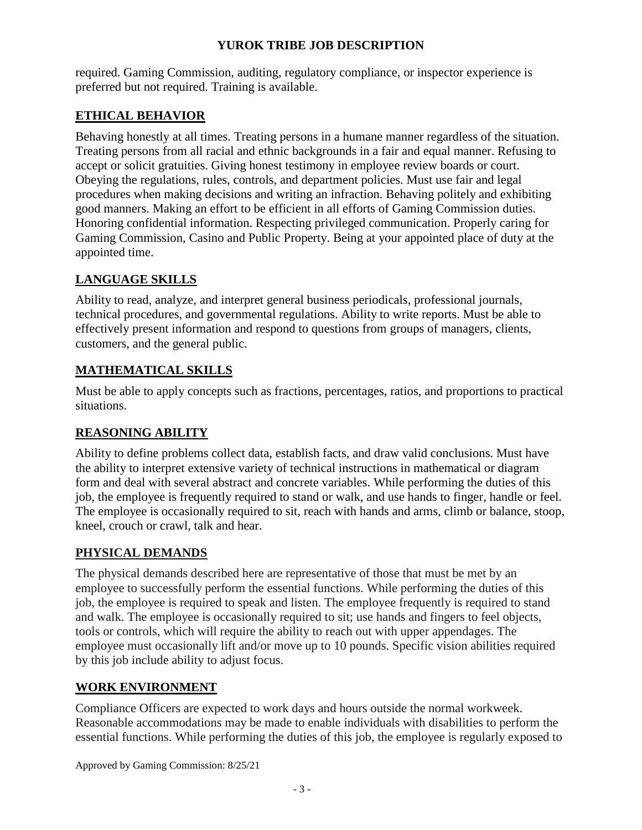required. Gaming Commission, auditing, regulatory compliance, or inspector experience is preferred but not required. Training is available.

## **ETHICAL BEHAVIOR**

Behaving honestly at all times. Treating persons in a humane manner regardless of the situation. Treating persons from all racial and ethnic backgrounds in a fair and equal manner. Refusing to accept or solicit gratuities. Giving honest testimony in employee review boards or court. Obeying the regulations, rules, controls, and department policies. Must use fair and legal procedures when making decisions and writing an infraction. Behaving politely and exhibiting good manners. Making an effort to be efficient in all efforts of Gaming Commission duties. Honoring confidential information. Respecting privileged communication. Properly caring for Gaming Commission, Casino and Public Property. Being at your appointed place of duty at the appointed time.

## **LANGUAGE SKILLS**

Ability to read, analyze, and interpret general business periodicals, professional journals, technical procedures, and governmental regulations. Ability to write reports. Must be able to effectively present information and respond to questions from groups of managers, clients, customers, and the general public.

#### **MATHEMATICAL SKILLS**

Must be able to apply concepts such as fractions, percentages, ratios, and proportions to practical situations.

## **REASONING ABILITY**

Ability to define problems collect data, establish facts, and draw valid conclusions. Must have the ability to interpret extensive variety of technical instructions in mathematical or diagram form and deal with several abstract and concrete variables. While performing the duties of this job, the employee is frequently required to stand or walk, and use hands to finger, handle or feel. The employee is occasionally required to sit, reach with hands and arms, climb or balance, stoop, kneel, crouch or crawl, talk and hear.

## **PHYSICAL DEMANDS**

The physical demands described here are representative of those that must be met by an employee to successfully perform the essential functions. While performing the duties of this job, the employee is required to speak and listen. The employee frequently is required to stand and walk. The employee is occasionally required to sit; use hands and fingers to feel objects, tools or controls, which will require the ability to reach out with upper appendages. The employee must occasionally lift and/or move up to 10 pounds. Specific vision abilities required by this job include ability to adjust focus.

## **WORK ENVIRONMENT**

Compliance Officers are expected to work days and hours outside the normal workweek. Reasonable accommodations may be made to enable individuals with disabilities to perform the essential functions. While performing the duties of this job, the employee is regularly exposed to

Approved by Gaming Commission: 8/25/21